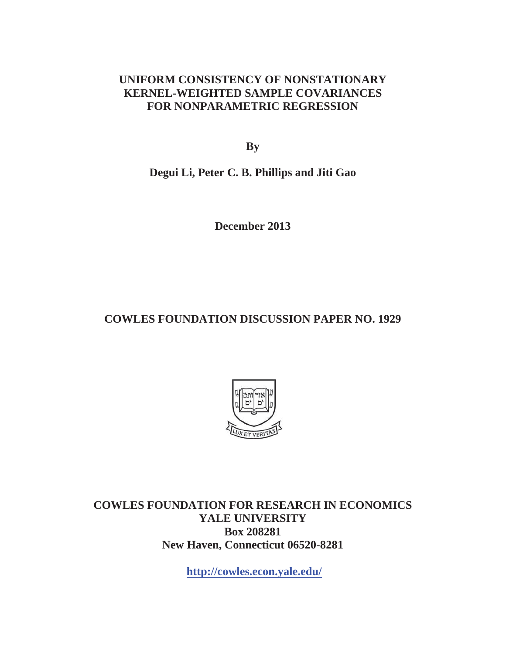# **UNIFORM CONSISTENCY OF NONSTATIONARY KERNEL-WEIGHTED SAMPLE COVARIANCES FOR NONPARAMETRIC REGRESSION**

**By**

**Degui Li, Peter C. B. Phillips and Jiti Gao** 

**December 2013** 

# **COWLES FOUNDATION DISCUSSION PAPER NO. 1929**



**COWLES FOUNDATION FOR RESEARCH IN ECONOMICS YALE UNIVERSITY Box 208281 New Haven, Connecticut 06520-8281** 

**http://cowles.econ.yale.edu/**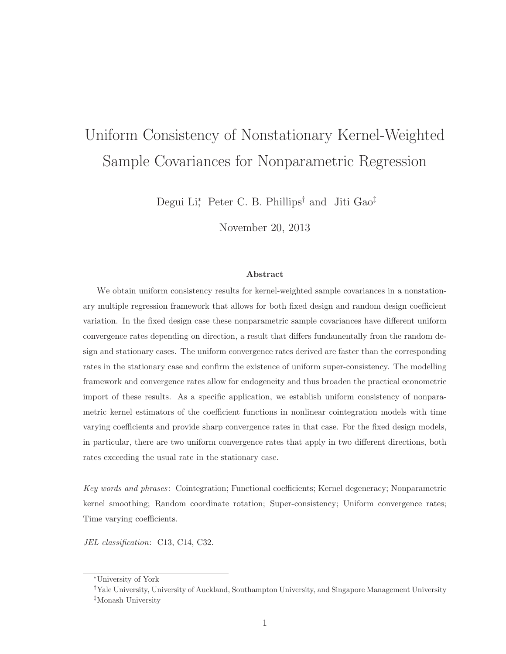# Uniform Consistency of Nonstationary Kernel-Weighted Sample Covariances for Nonparametric Regression

Degui Li<sup>\*</sup>, Peter C. B. Phillips<sup>†</sup> and Jiti Gao<sup>‡</sup>

November 20, 2013

#### **Abstract**

We obtain uniform consistency results for kernel-weighted sample covariances in a nonstationary multiple regression framework that allows for both fixed design and random design coefficient variation. In the fixed design case these nonparametric sample covariances have different uniform convergence rates depending on direction, a result that differs fundamentally from the random design and stationary cases. The uniform convergence rates derived are faster than the corresponding rates in the stationary case and confirm the existence of uniform super-consistency. The modelling framework and convergence rates allow for endogeneity and thus broaden the practical econometric import of these results. As a specific application, we establish uniform consistency of nonparametric kernel estimators of the coefficient functions in nonlinear cointegration models with time varying coefficients and provide sharp convergence rates in that case. For the fixed design models, in particular, there are two uniform convergence rates that apply in two different directions, both rates exceeding the usual rate in the stationary case.

Key words and phrases: Cointegration; Functional coefficients; Kernel degeneracy; Nonparametric kernel smoothing; Random coordinate rotation; Super-consistency; Uniform convergence rates; Time varying coefficients.

JEL classification: C13, C14, C32.

<sup>∗</sup>University of York

<sup>†</sup>Yale University, University of Auckland, Southampton University, and Singapore Management University ‡Monash University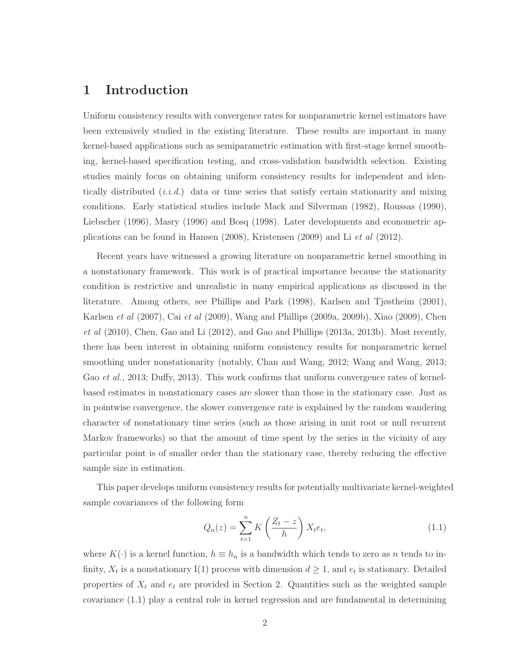# **1 Introduction**

Uniform consistency results with convergence rates for nonparametric kernel estimators have been extensively studied in the existing literature. These results are important in many kernel-based applications such as semiparametric estimation with first-stage kernel smoothing, kernel-based specification testing, and cross-validation bandwidth selection. Existing studies mainly focus on obtaining uniform consistency results for independent and identically distributed  $(i.i.d.)$  data or time series that satisfy certain stationarity and mixing conditions. Early statistical studies include Mack and Silverman (1982), Roussas (1990), Liebscher (1996), Masry (1996) and Bosq (1998). Later developments and econometric applications can be found in Hansen (2008), Kristensen (2009) and Li et al (2012).

Recent years have witnessed a growing literature on nonparametric kernel smoothing in a nonstationary framework. This work is of practical importance because the stationarity condition is restrictive and unrealistic in many empirical applications as discussed in the literature. Among others, see Phillips and Park (1998), Karlsen and Tjøstheim (2001), Karlsen et al (2007), Cai et al (2009), Wang and Phillips (2009a, 2009b), Xiao (2009), Chen  $et \ al \ (2010)$ , Chen, Gao and Li $(2012)$ , and Gao and Phillips  $(2013a, 2013b)$ . Most recently, there has been interest in obtaining uniform consistency results for nonparametric kernel smoothing under nonstationarity (notably, Chan and Wang, 2012; Wang and Wang, 2013; Gao et al., 2013; Duffy, 2013). This work confirms that uniform convergence rates of kernelbased estimates in nonstationary cases are slower than those in the stationary case. Just as in pointwise convergence, the slower convergence rate is explained by the random wandering character of nonstationary time series (such as those arising in unit root or null recurrent Markov frameworks) so that the amount of time spent by the series in the vicinity of any particular point is of smaller order than the stationary case, thereby reducing the effective sample size in estimation.

This paper develops uniform consistency results for potentially multivariate kernel-weighted sample covariances of the following form

$$
Q_n(z) = \sum_{t=1}^n K\left(\frac{Z_t - z}{h}\right) X_t e_t,
$$
\n(1.1)

where  $K(\cdot)$  is a kernel function,  $h \equiv h_n$  is a bandwidth which tends to zero as n tends to infinity,  $X_t$  is a nonstationary I(1) process with dimension  $d \geq 1$ , and  $e_t$  is stationary. Detailed properties of  $X_t$  and  $e_t$  are provided in Section 2. Quantities such as the weighted sample covariance (1.1) play a central role in kernel regression and are fundamental in determining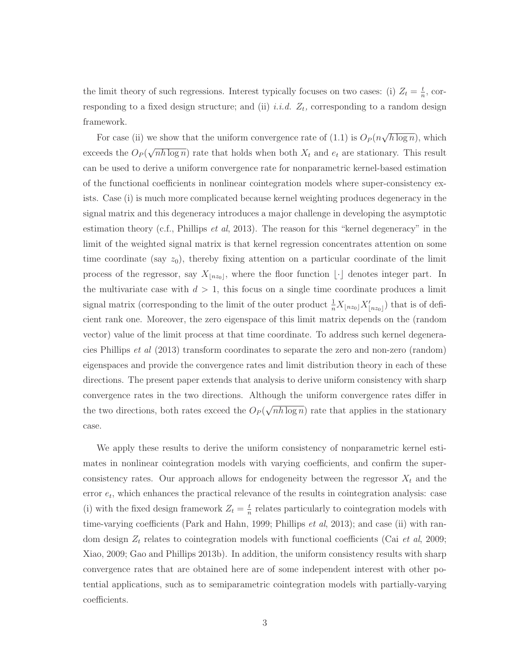the limit theory of such regressions. Interest typically focuses on two cases: (i)  $Z_t = \frac{t}{n}$ , corresponding to a fixed design structure; and (ii) *i.i.d.*  $Z_t$ , corresponding to a random design framework.

For case (ii) we show that the uniform convergence rate of (1.1) is  $O_P(n\sqrt{h \log n})$ , which exceeds the  $O_P(\sqrt{nh \log n})$  rate that holds when both  $X_t$  and  $e_t$  are stationary. This result can be used to derive a uniform convergence rate for nonparametric kernel-based estimation of the functional coefficients in nonlinear cointegration models where super-consistency exists. Case (i) is much more complicated because kernel weighting produces degeneracy in the signal matrix and this degeneracy introduces a major challenge in developing the asymptotic estimation theory (c.f., Phillips *et al*, 2013). The reason for this "kernel degeneracy" in the limit of the weighted signal matrix is that kernel regression concentrates attention on some time coordinate (say  $z_0$ ), thereby fixing attention on a particular coordinate of the limit process of the regressor, say  $X_{\lfloor n z_0 \rfloor}$ , where the floor function  $\lfloor \cdot \rfloor$  denotes integer part. In the multivariate case with  $d > 1$ , this focus on a single time coordinate produces a limit signal matrix (corresponding to the limit of the outer product  $\frac{1}{n}X_{\lfloor nz_0\rfloor}X'_{\lfloor nz_0\rfloor}$ ) that is of deficient rank one. Moreover, the zero eigenspace of this limit matrix depends on the (random vector) value of the limit process at that time coordinate. To address such kernel degeneracies Phillips et al (2013) transform coordinates to separate the zero and non-zero (random) eigenspaces and provide the convergence rates and limit distribution theory in each of these directions. The present paper extends that analysis to derive uniform consistency with sharp convergence rates in the two directions. Although the uniform convergence rates differ in the two directions, both rates exceed the  $O_P(\sqrt{nh \log n})$  rate that applies in the stationary case.

We apply these results to derive the uniform consistency of nonparametric kernel estimates in nonlinear cointegration models with varying coefficients, and confirm the superconsistency rates. Our approach allows for endogeneity between the regressor  $X_t$  and the error  $e_t$ , which enhances the practical relevance of the results in cointegration analysis: case (i) with the fixed design framework  $Z_t = \frac{t}{n}$  relates particularly to cointegration models with time-varying coefficients (Park and Hahn, 1999; Phillips  $et al$ , 2013); and case (ii) with random design  $Z_t$  relates to cointegration models with functional coefficients (Cai *et al*, 2009; Xiao, 2009; Gao and Phillips 2013b). In addition, the uniform consistency results with sharp convergence rates that are obtained here are of some independent interest with other potential applications, such as to semiparametric cointegration models with partially-varying coefficients.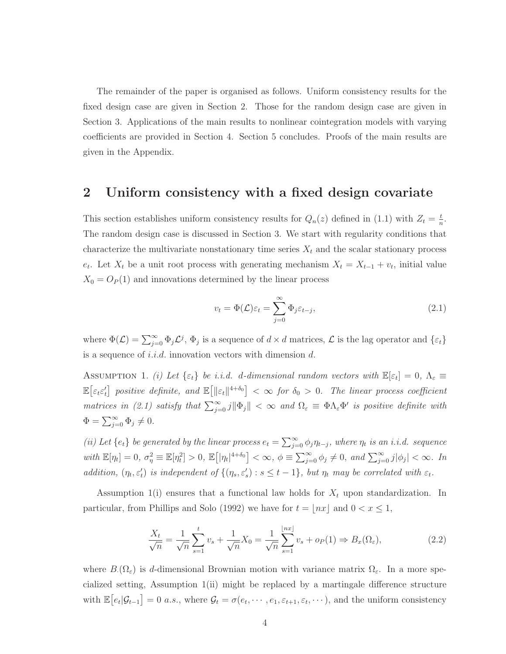The remainder of the paper is organised as follows. Uniform consistency results for the fixed design case are given in Section 2. Those for the random design case are given in Section 3. Applications of the main results to nonlinear cointegration models with varying coefficients are provided in Section 4. Section 5 concludes. Proofs of the main results are given in the Appendix.

### **2 Uniform consistency with a fixed design covariate**

This section establishes uniform consistency results for  $Q_n(z)$  defined in (1.1) with  $Z_t = \frac{t}{n}$ . The random design case is discussed in Section 3. We start with regularity conditions that characterize the multivariate nonstationary time series  $X_t$  and the scalar stationary process  $e_t$ . Let  $X_t$  be a unit root process with generating mechanism  $X_t = X_{t-1} + v_t$ , initial value  $X_0 = O_P(1)$  and innovations determined by the linear process

$$
v_t = \Phi(\mathcal{L})\varepsilon_t = \sum_{j=0}^{\infty} \Phi_j \varepsilon_{t-j},
$$
\n(2.1)

where  $\Phi(\mathcal{L}) = \sum_{j=0}^{\infty} \Phi_j \mathcal{L}^j$ ,  $\Phi_j$  is a sequence of  $d \times d$  matrices,  $\mathcal{L}$  is the lag operator and  $\{\varepsilon_t\}$ is a sequence of *i.i.d.* innovation vectors with dimension  $d$ .

ASSUMPTION 1. (i) Let  $\{\varepsilon_t\}$  be i.i.d. d-dimensional random vectors with  $\mathbb{E}[\varepsilon_t]=0$ ,  $\Lambda_{\varepsilon} \equiv$  $\mathbb{E} \big[ \varepsilon_t \varepsilon'_t \big]$  positive definite, and  $\mathbb{E} \big[ ||\varepsilon_t||^{4+\delta_0} \big] < \infty$  for  $\delta_0 > 0$ . The linear process coefficient matrices in (2.1) satisfy that  $\sum_{j=0}^{\infty} j \|\Phi_j\| < \infty$  and  $\Omega_{\varepsilon} \equiv \Phi \Lambda_{\varepsilon} \Phi'$  is positive definite with  $\Phi = \sum_{j=0}^{\infty} \Phi_j \neq 0.$ 

(ii) Let  $\{e_t\}$  be generated by the linear process  $e_t = \sum_{j=0}^{\infty} \phi_j \eta_{t-j}$ , where  $\eta_t$  is an i.i.d. sequence with  $\mathbb{E}[\eta_t] = 0$ ,  $\sigma_{\eta}^2 \equiv \mathbb{E}[\eta_t^2] > 0$ ,  $\mathbb{E}[\eta_t|^{4+\delta_0}] < \infty$ ,  $\phi \equiv \sum_{j=0}^{\infty} \phi_j \neq 0$ , and  $\sum_{j=0}^{\infty} j |\phi_j| < \infty$ . In addition,  $(\eta_t, \varepsilon'_t)$  is independent of  $\{(\eta_s, \varepsilon'_s) : s \le t - 1\}$ , but  $\eta_t$  may be correlated with  $\varepsilon_t$ .

Assumption 1(i) ensures that a functional law holds for  $X_t$  upon standardization. In particular, from Phillips and Solo (1992) we have for  $t = \lfloor nx \rfloor$  and  $0 < x \leq 1$ ,

$$
\frac{X_t}{\sqrt{n}} = \frac{1}{\sqrt{n}} \sum_{s=1}^t v_s + \frac{1}{\sqrt{n}} X_0 = \frac{1}{\sqrt{n}} \sum_{s=1}^{\lfloor nx \rfloor} v_s + o_P(1) \Rightarrow B_x(\Omega_\varepsilon),
$$
\n(2.2)

where  $B(\Omega_{\varepsilon})$  is d-dimensional Brownian motion with variance matrix  $\Omega_{\varepsilon}$ . In a more specialized setting, Assumption 1(ii) might be replaced by a martingale difference structure with  $\mathbb{E}\big[e_t|\mathcal{G}_{t-1}\big] = 0$  a.s., where  $\mathcal{G}_t = \sigma(e_t, \dots, e_1, \varepsilon_{t+1}, \varepsilon_t, \dots)$ , and the uniform consistency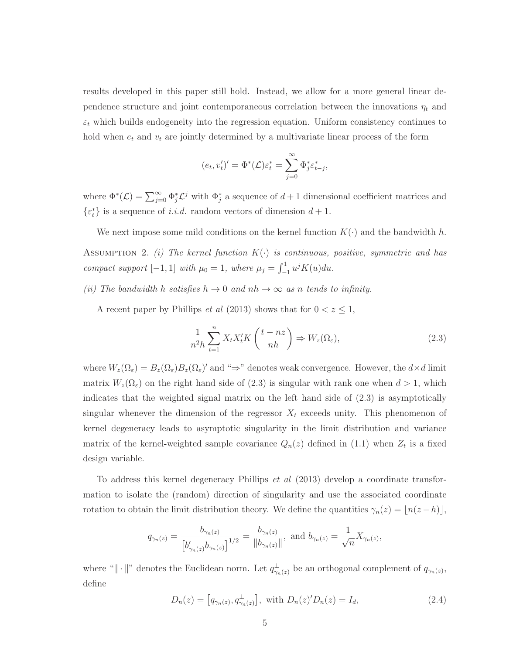results developed in this paper still hold. Instead, we allow for a more general linear dependence structure and joint contemporaneous correlation between the innovations  $\eta_t$  and  $\varepsilon_t$  which builds endogeneity into the regression equation. Uniform consistency continues to hold when  $e_t$  and  $v_t$  are jointly determined by a multivariate linear process of the form

$$
(e_t, v'_t)' = \Phi^*(\mathcal{L})\varepsilon_t^* = \sum_{j=0}^{\infty} \Phi_j^* \varepsilon_{t-j}^*,
$$

where  $\Phi^*(\mathcal{L}) = \sum_{j=0}^{\infty} \Phi_j^* \mathcal{L}^j$  with  $\Phi_j^*$  a sequence of  $d+1$  dimensional coefficient matrices and  $\{\varepsilon_t^*\}$  is a sequence of *i.i.d.* random vectors of dimension  $d+1$ .

We next impose some mild conditions on the kernel function  $K(\cdot)$  and the bandwidth h. ASSUMPTION 2. (i) The kernel function  $K(\cdot)$  is continuous, positive, symmetric and has compact support [-1, 1] with  $\mu_0 = 1$ , where  $\mu_j = \int_{-1}^1 u^j K(u) du$ .

(ii) The bandwidth h satisfies  $h \to 0$  and  $nh \to \infty$  as n tends to infinity.

A recent paper by Phillips *et al* (2013) shows that for  $0 < z \leq 1$ ,

$$
\frac{1}{n^2h} \sum_{t=1}^n X_t X_t' K\left(\frac{t - nz}{nh}\right) \Rightarrow W_z(\Omega_\varepsilon),\tag{2.3}
$$

where  $W_z(\Omega_\varepsilon) = B_z(\Omega_\varepsilon)B_z(\Omega_\varepsilon)'$  and " $\Rightarrow$ " denotes weak convergence. However, the  $d \times d$  limit matrix  $W_z(\Omega_\varepsilon)$  on the right hand side of (2.3) is singular with rank one when  $d > 1$ , which indicates that the weighted signal matrix on the left hand side of (2.3) is asymptotically singular whenever the dimension of the regressor  $X_t$  exceeds unity. This phenomenon of kernel degeneracy leads to asymptotic singularity in the limit distribution and variance matrix of the kernel-weighted sample covariance  $Q_n(z)$  defined in (1.1) when  $Z_t$  is a fixed design variable.

To address this kernel degeneracy Phillips et al (2013) develop a coordinate transformation to isolate the (random) direction of singularity and use the associated coordinate rotation to obtain the limit distribution theory. We define the quantities  $\gamma_n(z) = \lfloor n(z - h) \rfloor$ ,

$$
q_{\gamma_n(z)} = \frac{b_{\gamma_n(z)}}{\left[b'_{\gamma_n(z)}b_{\gamma_n(z)}\right]^{1/2}} = \frac{b_{\gamma_n(z)}}{\|b_{\gamma_n(z)}\|}, \text{ and } b_{\gamma_n(z)} = \frac{1}{\sqrt{n}}X_{\gamma_n(z)},
$$

where " $\|\cdot\|$ " denotes the Euclidean norm. Let  $q_{\gamma_n(z)}^{\perp}$  be an orthogonal complement of  $q_{\gamma_n(z)}$ , define

$$
D_n(z) = [q_{\gamma_n(z)}, q_{\gamma_n(z)}^{\perp}], \text{ with } D_n(z)' D_n(z) = I_d,
$$
\n(2.4)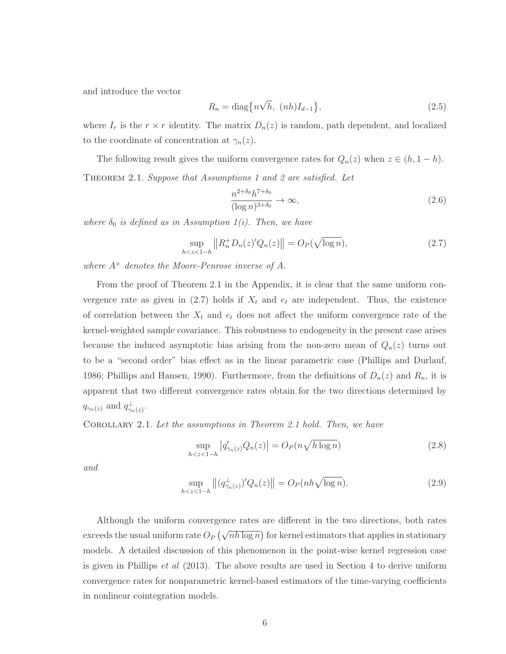and introduce the vector

$$
R_n = \text{diag}\left\{n\sqrt{h}, (nh)I_{d-1}\right\},\tag{2.5}
$$

where  $I_r$  is the  $r \times r$  identity. The matrix  $D_n(z)$  is random, path dependent, and localized to the coordinate of concentration at  $\gamma_n(z)$ .

The following result gives the uniform convergence rates for  $Q_n(z)$  when  $z \in (h, 1-h)$ . THEOREM 2.1. Suppose that Assumptions 1 and 2 are satisfied. Let

$$
\frac{n^{2+\delta_0}h^{7+\delta_0}}{(\log n)^{3+\delta_0}} \to \infty,
$$
\n(2.6)

where  $\delta_0$  is defined as in Assumption 1(i). Then, we have

$$
\sup_{h < z < 1-h} \left\| R_n^+ D_n(z)' Q_n(z) \right\| = O_P(\sqrt{\log n}),\tag{2.7}
$$

where  $A^+$  denotes the Moore-Penrose inverse of A.

From the proof of Theorem 2.1 in the Appendix, it is clear that the same uniform convergence rate as given in (2.7) holds if  $X_t$  and  $e_t$  are independent. Thus, the existence of correlation between the  $X_t$  and  $e_t$  does not affect the uniform convergence rate of the kernel-weighted sample covariance. This robustness to endogeneity in the present case arises because the induced asymptotic bias arising from the non-zero mean of  $Q_n(z)$  turns out to be a "second order" bias effect as in the linear parametric case (Phillips and Durlauf, 1986; Phillips and Hansen, 1990). Furthermore, from the definitions of  $D_n(z)$  and  $R_n$ , it is apparent that two different convergence rates obtain for the two directions determined by  $q_{\gamma_n(z)}$  and  $q_{\gamma_n(z)}^{\perp}$ .

Corollary 2.1. Let the assumptions in Theorem 2.1 hold. Then, we have

$$
\sup_{h < z < 1-h} \left| q'_{\gamma_n(z)} Q_n(z) \right| = O_P(n \sqrt{h \log n}) \tag{2.8}
$$

and

$$
\sup_{h < z < 1-h} \left\| (q_{\gamma_n(z)}^\perp)' Q_n(z) \right\| = O_P(n h \sqrt{\log n}).\tag{2.9}
$$

Although the uniform convergence rates are different in the two directions, both rates exceeds the usual uniform rate  $O_P(\sqrt{nh \log n})$  for kernel estimators that applies in stationary models. A detailed discussion of this phenomenon in the point-wise kernel regression case is given in Phillips  $et \, al \, (2013)$ . The above results are used in Section 4 to derive uniform convergence rates for nonparametric kernel-based estimators of the time-varying coefficients in nonlinear cointegration models.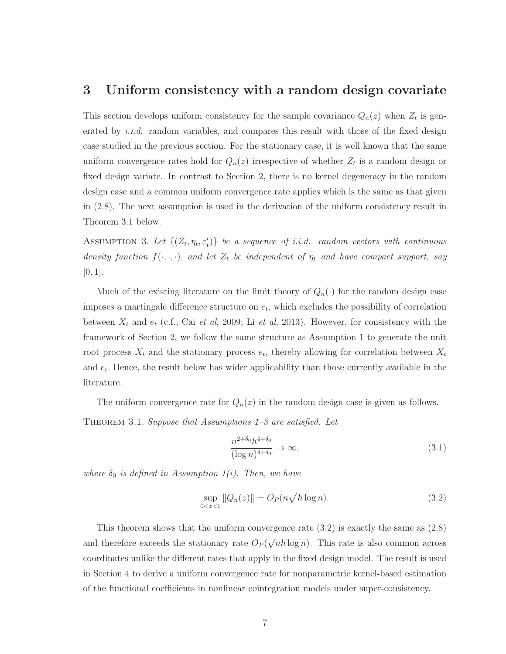#### **3 Uniform consistency with a random design covariate**

This section develops uniform consistency for the sample covariance  $Q_n(z)$  when  $Z_t$  is generated by  $i.i.d.$  random variables, and compares this result with those of the fixed design case studied in the previous section. For the stationary case, it is well known that the same uniform convergence rates hold for  $Q_n(z)$  irrespective of whether  $Z_t$  is a random design or fixed design variate. In contrast to Section 2, there is no kernel degeneracy in the random design case and a common uniform convergence rate applies which is the same as that given in (2.8). The next assumption is used in the derivation of the uniform consistency result in Theorem 3.1 below.

ASSUMPTION 3. Let  $\{(Z_t, \eta_t, \varepsilon'_t)\}\$  be a sequence of i.i.d. random vectors with continuous density function  $f(\cdot, \cdot, \cdot)$ , and let  $Z_t$  be independent of  $\eta_t$  and have compact support, say  $[0, 1]$ .

Much of the existing literature on the limit theory of  $Q_n(\cdot)$  for the random design case imposes a martingale difference structure on  $e_t$ , which excludes the possibility of correlation between  $X_t$  and  $e_t$  (c.f., Cai et al, 2009; Li et al, 2013). However, for consistency with the framework of Section 2, we follow the same structure as Assumption 1 to generate the unit root process  $X_t$  and the stationary process  $e_t$ , thereby allowing for correlation between  $X_t$ and  $e_t$ . Hence, the result below has wider applicability than those currently available in the literature.

The uniform convergence rate for  $Q_n(z)$  in the random design case is given as follows. THEOREM 3.1. Suppose that Assumptions  $1-3$  are satisfied. Let

$$
\frac{n^{2+\delta_0}h^{4+\delta_0}}{(\log n)^{4+\delta_0}} \to \infty,
$$
\n(3.1)

where  $\delta_0$  is defined in Assumption 1(i). Then, we have

$$
\sup_{0 < z < 1} \|Q_n(z)\| = O_P(n\sqrt{h \log n}).\tag{3.2}
$$

This theorem shows that the uniform convergence rate  $(3.2)$  is exactly the same as  $(2.8)$ and therefore exceeds the stationary rate  $O_P(\sqrt{nh \log n})$ . This rate is also common across coordinates unlike the different rates that apply in the fixed design model. The result is used in Section 4 to derive a uniform convergence rate for nonparametric kernel-based estimation of the functional coefficients in nonlinear cointegration models under super-consistency.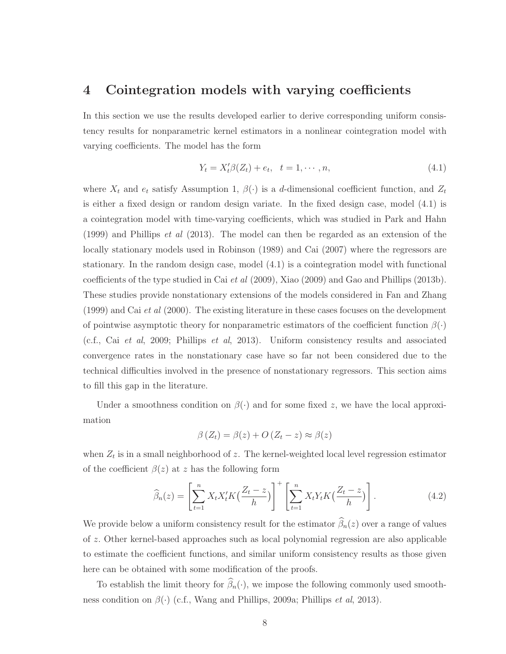# **4 Cointegration models with varying coefficients**

In this section we use the results developed earlier to derive corresponding uniform consistency results for nonparametric kernel estimators in a nonlinear cointegration model with varying coefficients. The model has the form

$$
Y_t = X_t' \beta(Z_t) + e_t, \quad t = 1, \cdots, n,
$$
\n(4.1)

where  $X_t$  and  $e_t$  satisfy Assumption 1,  $\beta(\cdot)$  is a d-dimensional coefficient function, and  $Z_t$ is either a fixed design or random design variate. In the fixed design case, model (4.1) is a cointegration model with time-varying coefficients, which was studied in Park and Hahn (1999) and Phillips et al (2013). The model can then be regarded as an extension of the locally stationary models used in Robinson (1989) and Cai (2007) where the regressors are stationary. In the random design case, model (4.1) is a cointegration model with functional coefficients of the type studied in Cai et al (2009), Xiao (2009) and Gao and Phillips (2013b). These studies provide nonstationary extensions of the models considered in Fan and Zhang  $(1999)$  and Cai *et al*  $(2000)$ . The existing literature in these cases focuses on the development of pointwise asymptotic theory for nonparametric estimators of the coefficient function  $\beta(\cdot)$ (c.f., Cai et al, 2009; Phillips et al, 2013). Uniform consistency results and associated convergence rates in the nonstationary case have so far not been considered due to the technical difficulties involved in the presence of nonstationary regressors. This section aims to fill this gap in the literature.

Under a smoothness condition on  $\beta(\cdot)$  and for some fixed z, we have the local approximation

$$
\beta(Z_t) = \beta(z) + O(Z_t - z) \approx \beta(z)
$$

when  $Z_t$  is in a small neighborhood of z. The kernel-weighted local level regression estimator of the coefficient  $\beta(z)$  at z has the following form

$$
\widehat{\beta}_n(z) = \left[\sum_{t=1}^n X_t X_t' K\left(\frac{Z_t - z}{h}\right)\right]^+ \left[\sum_{t=1}^n X_t Y_t K\left(\frac{Z_t - z}{h}\right)\right].\tag{4.2}
$$

We provide below a uniform consistency result for the estimator  $\widehat{\beta}_n(z)$  over a range of values of z. Other kernel-based approaches such as local polynomial regression are also applicable to estimate the coefficient functions, and similar uniform consistency results as those given here can be obtained with some modification of the proofs.

To establish the limit theory for  $\widehat{\beta}_n(\cdot)$ , we impose the following commonly used smoothness condition on  $\beta(\cdot)$  (c.f., Wang and Phillips, 2009a; Phillips *et al*, 2013).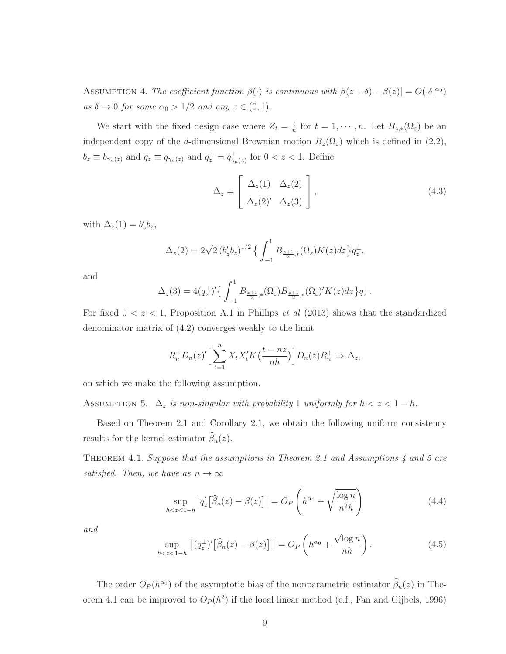ASSUMPTION 4. The coefficient function  $\beta(\cdot)$  is continuous with  $\beta(z+\delta) - \beta(z)| = O(|\delta|^{\alpha_0})$ as  $\delta \to 0$  for some  $\alpha_0 > 1/2$  and any  $z \in (0,1)$ .

We start with the fixed design case where  $Z_t = \frac{t}{n}$  for  $t = 1, \dots, n$ . Let  $B_{z,*}(\Omega_{\varepsilon})$  be an independent copy of the d-dimensional Brownian motion  $B_z(\Omega_\varepsilon)$  which is defined in (2.2),  $b_z \equiv b_{\gamma_n(z)}$  and  $q_z \equiv q_{\gamma_n(z)}$  and  $q_z^{\perp} = q_{\gamma_n(z)}^{\perp}$  for  $0 < z < 1$ . Define

$$
\Delta_z = \begin{bmatrix} \Delta_z(1) & \Delta_z(2) \\ \Delta_z(2) & \Delta_z(3) \end{bmatrix},
$$
\n(4.3)

with  $\Delta_z(1) = b'_z b_z$ ,

$$
\Delta_z(2) = 2\sqrt{2} (b_z' b_z)^{1/2} \left\{ \int_{-1}^1 B_{\frac{z+1}{2},*}(\Omega_{\varepsilon}) K(z) dz \right\} q_z^{\perp},
$$

and

$$
\Delta_z(3) = 4(q_z^{\perp})' \left\{ \int_{-1}^1 B_{\frac{z+1}{2},*}(\Omega_{\varepsilon}) B_{\frac{z+1}{2},*}(\Omega_{\varepsilon})' K(z) dz \right\} q_z^{\perp}.
$$

For fixed  $0 < z < 1$ , Proposition A.1 in Phillips *et al* (2013) shows that the standardized denominator matrix of (4.2) converges weakly to the limit

$$
R_n^+ D_n(z)'\Big[\sum_{t=1}^n X_t X_t' K\Big(\frac{t - nz}{nh}\Big)\Big] D_n(z) R_n^+ \Rightarrow \Delta_z,
$$

on which we make the following assumption.

ASSUMPTION 5.  $\Delta_z$  is non-singular with probability 1 uniformly for  $h < z < 1 - h$ .

Based on Theorem 2.1 and Corollary 2.1, we obtain the following uniform consistency results for the kernel estimator  $\widehat{\beta}_n(z)$ .

Theorem 4.1. Suppose that the assumptions in Theorem 2.1 and Assumptions 4 and 5 are satisfied. Then, we have as  $n \to \infty$ 

$$
\sup_{h < z < 1-h} \left| q'_z \left[ \widehat{\beta}_n(z) - \beta(z) \right] \right| = O_P\left( h^{\alpha_0} + \sqrt{\frac{\log n}{n^2 h}} \right) \tag{4.4}
$$

and

$$
\sup_{h < z < 1-h} \left\| (q_z^\perp)' \left[ \widehat{\beta}_n(z) - \beta(z) \right] \right\| = O_P\left( h^{\alpha_0} + \frac{\sqrt{\log n}}{nh} \right). \tag{4.5}
$$

The order  $O_P(h^{\alpha_0})$  of the asymptotic bias of the nonparametric estimator  $\widehat{\beta}_n(z)$  in Theorem 4.1 can be improved to  $O_P(h^2)$  if the local linear method (c.f., Fan and Gijbels, 1996)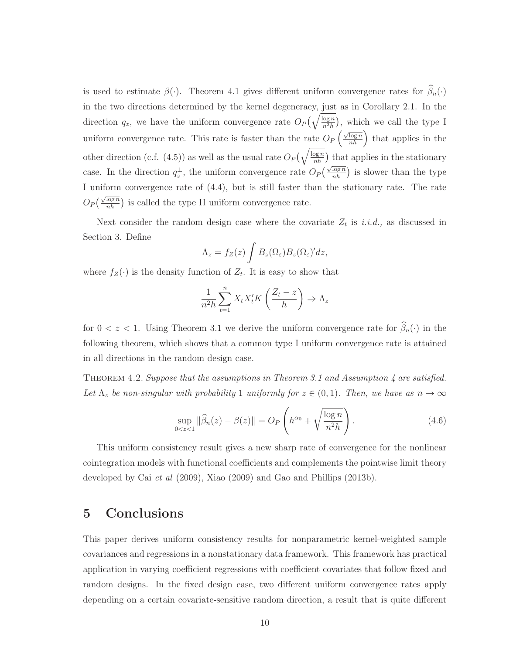is used to estimate  $\beta(\cdot)$ . Theorem 4.1 gives different uniform convergence rates for  $\widehat{\beta}_n(\cdot)$ in the two directions determined by the kernel degeneracy, just as in Corollary 2.1. In the direction  $q_z$ , we have the uniform convergence rate  $O_P(\sqrt{\frac{\log n}{n^2h}})$ , which we call the type I uniform convergence rate. This rate is faster than the rate  $O_P\left(\frac{\sqrt{\log n}}{nh}\right)$  that applies in the other direction (c.f. (4.5)) as well as the usual rate  $O_P(\sqrt{\frac{\log n}{nh}})$  that applies in the stationary case. In the direction  $q_z^{\perp}$ , the uniform convergence rate  $O_P\left(\frac{\sqrt{\log n}}{nh}\right)$  is slower than the type I uniform convergence rate of (4.4), but is still faster than the stationary rate. The rate  $O_P\left(\frac{\sqrt{\log n}}{nh}\right)$  is called the type II uniform convergence rate.

Next consider the random design case where the covariate  $Z_t$  is i.i.d., as discussed in Section 3. Define

$$
\Lambda_z = f_Z(z) \int B_z(\Omega_\varepsilon) B_z(\Omega_\varepsilon)' dz,
$$

where  $f_Z(\cdot)$  is the density function of  $Z_t$ . It is easy to show that

$$
\frac{1}{n^2h} \sum_{t=1}^n X_t X_t' K\left(\frac{Z_t - z}{h}\right) \Rightarrow \Lambda_z
$$

for  $0 < z < 1$ . Using Theorem 3.1 we derive the uniform convergence rate for  $\widehat{\beta}_n(\cdot)$  in the following theorem, which shows that a common type I uniform convergence rate is attained in all directions in the random design case.

THEOREM 4.2. Suppose that the assumptions in Theorem 3.1 and Assumption  $\downarrow$  are satisfied. Let  $\Lambda_z$  be non-singular with probability 1 uniformly for  $z \in (0,1)$ . Then, we have as  $n \to \infty$ 

$$
\sup_{0 < z < 1} \|\widehat{\beta}_n(z) - \beta(z)\| = O_P\left(h^{\alpha_0} + \sqrt{\frac{\log n}{n^2 h}}\right). \tag{4.6}
$$

This uniform consistency result gives a new sharp rate of convergence for the nonlinear cointegration models with functional coefficients and complements the pointwise limit theory developed by Cai et al (2009), Xiao (2009) and Gao and Phillips (2013b).

# **5 Conclusions**

This paper derives uniform consistency results for nonparametric kernel-weighted sample covariances and regressions in a nonstationary data framework. This framework has practical application in varying coefficient regressions with coefficient covariates that follow fixed and random designs. In the fixed design case, two different uniform convergence rates apply depending on a certain covariate-sensitive random direction, a result that is quite different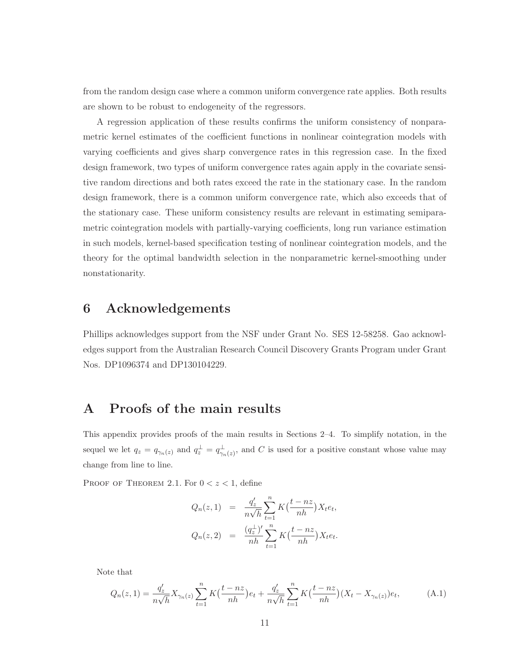from the random design case where a common uniform convergence rate applies. Both results are shown to be robust to endogeneity of the regressors.

A regression application of these results confirms the uniform consistency of nonparametric kernel estimates of the coefficient functions in nonlinear cointegration models with varying coefficients and gives sharp convergence rates in this regression case. In the fixed design framework, two types of uniform convergence rates again apply in the covariate sensitive random directions and both rates exceed the rate in the stationary case. In the random design framework, there is a common uniform convergence rate, which also exceeds that of the stationary case. These uniform consistency results are relevant in estimating semiparametric cointegration models with partially-varying coefficients, long run variance estimation in such models, kernel-based specification testing of nonlinear cointegration models, and the theory for the optimal bandwidth selection in the nonparametric kernel-smoothing under nonstationarity.

# **6 Acknowledgements**

Phillips acknowledges support from the NSF under Grant No. SES 12-58258. Gao acknowledges support from the Australian Research Council Discovery Grants Program under Grant Nos. DP1096374 and DP130104229.

# **A Proofs of the main results**

This appendix provides proofs of the main results in Sections 2–4. To simplify notation, in the sequel we let  $q_z = q_{\gamma_n(z)}$  and  $q_z^{\perp} = q_{\gamma_n(z)}^{\perp}$ , and C is used for a positive constant whose value may change from line to line.

PROOF OF THEOREM 2.1. For  $0 < z < 1$ , define

$$
Q_n(z,1) = \frac{q'_z}{n\sqrt{h}} \sum_{t=1}^n K(\frac{t - nz}{nh}) X_t e_t,
$$
  

$$
Q_n(z,2) = \frac{(q_z^{\perp})'}{nh} \sum_{t=1}^n K(\frac{t - nz}{nh}) X_t e_t.
$$

Note that

$$
Q_n(z,1) = \frac{q'_z}{n\sqrt{h}} X_{\gamma_n(z)} \sum_{t=1}^n K\left(\frac{t-nz}{nh}\right) e_t + \frac{q'_z}{n\sqrt{h}} \sum_{t=1}^n K\left(\frac{t-nz}{nh}\right) (X_t - X_{\gamma_n(z)}) e_t, \tag{A.1}
$$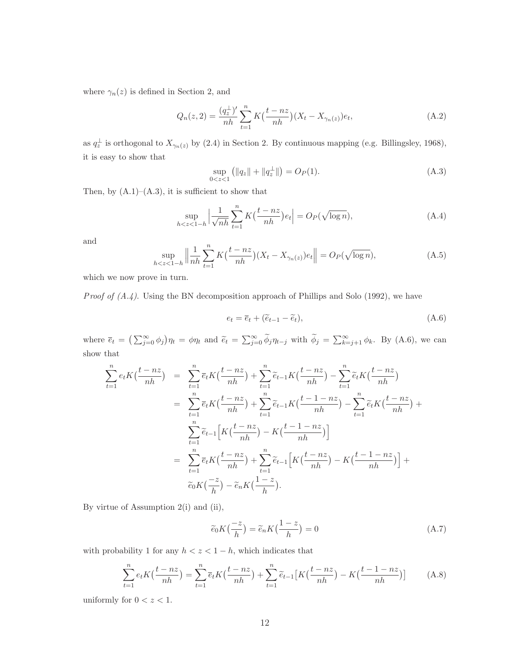where  $\gamma_n(z)$  is defined in Section 2, and

$$
Q_n(z,2) = \frac{(q_z^{\perp})'}{nh} \sum_{t=1}^n K(\frac{t - nz}{nh})(X_t - X_{\gamma_n(z)})e_t,
$$
 (A.2)

as  $q_z^{\perp}$  is orthogonal to  $X_{\gamma_n(z)}$  by (2.4) in Section 2. By continuous mapping (e.g. Billingsley, 1968), it is easy to show that

$$
\sup_{0 < z < 1} \left( \|q_z\| + \|q_z^{\perp}\| \right) = O_P(1). \tag{A.3}
$$

Then, by  $(A.1)$ – $(A.3)$ , it is sufficient to show that

$$
\sup_{h < z < 1-h} \left| \frac{1}{\sqrt{nh}} \sum_{t=1}^{n} K\left(\frac{t - nz}{nh}\right) e_t \right| = O_P(\sqrt{\log n}),\tag{A.4}
$$

and

$$
\sup_{h < z < 1-h} \left\| \frac{1}{nh} \sum_{t=1}^{n} K\left(\frac{t - nz}{nh}\right) (X_t - X_{\gamma_n(z)}) e_t \right\| = O_P(\sqrt{\log n}),\tag{A.5}
$$

which we now prove in turn.

*Proof of*  $(A.4)$ *.* Using the BN decomposition approach of Phillips and Solo (1992), we have

$$
e_t = \overline{e}_t + (\widetilde{e}_{t-1} - \widetilde{e}_t), \tag{A.6}
$$

where  $\overline{e}_t = (\sum_{j=0}^{\infty} \phi_j) \eta_t = \phi \eta_t$  and  $\widetilde{e}_t = \sum_{j=0}^{\infty} \widetilde{\phi}_j \eta_{t-j}$  with  $\widetilde{\phi}_j = \sum_{k=j+1}^{\infty} \phi_k$ . By (A.6), we can show that

$$
\sum_{t=1}^{n} e_t K\left(\frac{t - nz}{nh}\right) = \sum_{t=1}^{n} \overline{e}_t K\left(\frac{t - nz}{nh}\right) + \sum_{t=1}^{n} \widetilde{e}_{t-1} K\left(\frac{t - nz}{nh}\right) - \sum_{t=1}^{n} \widetilde{e}_t K\left(\frac{t - nz}{nh}\right)
$$
\n
$$
= \sum_{t=1}^{n} \overline{e}_t K\left(\frac{t - nz}{nh}\right) + \sum_{t=1}^{n} \widetilde{e}_{t-1} K\left(\frac{t - 1 - nz}{nh}\right) - \sum_{t=1}^{n} \widetilde{e}_t K\left(\frac{t - nz}{nh}\right) + \sum_{t=1}^{n} \widetilde{e}_{t-1} \left[K\left(\frac{t - nz}{nh}\right) - K\left(\frac{t - 1 - nz}{nh}\right)\right]
$$
\n
$$
= \sum_{t=1}^{n} \overline{e}_t K\left(\frac{t - nz}{nh}\right) + \sum_{t=1}^{n} \widetilde{e}_{t-1} \left[K\left(\frac{t - nz}{nh}\right) - K\left(\frac{t - 1 - nz}{nh}\right)\right] + \widetilde{e}_0 K\left(\frac{-z}{h}\right) - \widetilde{e}_n K\left(\frac{1 - z}{h}\right).
$$

By virtue of Assumption 2(i) and (ii),

$$
\widetilde{e}_0 K\left(\frac{-z}{h}\right) = \widetilde{e}_n K\left(\frac{1-z}{h}\right) = 0\tag{A.7}
$$

with probability 1 for any  $h < z < 1 - h$ , which indicates that

$$
\sum_{t=1}^{n} e_t K\left(\frac{t - nz}{nh}\right) = \sum_{t=1}^{n} \overline{e}_t K\left(\frac{t - nz}{nh}\right) + \sum_{t=1}^{n} \widetilde{e}_{t-1} \left[K\left(\frac{t - nz}{nh}\right) - K\left(\frac{t - 1 - nz}{nh}\right)\right]
$$
(A.8)

uniformly for  $0 < z < 1$ .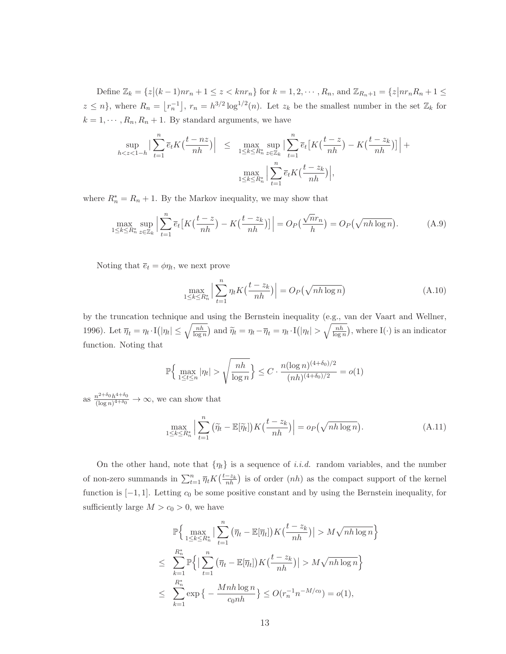Define  $\mathbb{Z}_k = \{z \mid (k-1)nr_n + 1 \le z < knr_n\}$  for  $k = 1, 2, \dots, R_n$ , and  $\mathbb{Z}_{R_n+1} = \{z \mid nr_n R_n + 1 \le z \le nx_n\}$  $z \leq n$ , where  $R_n = \lfloor r_n^{-1} \rfloor$ ,  $r_n = h^{3/2} \log^{1/2}(n)$ . Let  $z_k$  be the smallest number in the set  $\mathbb{Z}_k$  for  $k = 1, \dots, R_n, R_n + 1$ . By standard arguments, we have

$$
\sup_{h < z < 1-h} \left| \sum_{t=1}^{n} \overline{e}_t K\left(\frac{t - nz}{nh}\right) \right| \leq \max_{1 \leq k \leq R_n^*} \sup_{z \in \mathbb{Z}_k} \left| \sum_{t=1}^{n} \overline{e}_t \left[ K\left(\frac{t - z}{nh}\right) - K\left(\frac{t - z_k}{nh}\right) \right] \right| + \max_{1 \leq k \leq R_n^*} \left| \sum_{t=1}^{n} \overline{e}_t K\left(\frac{t - z_k}{nh}\right) \right|,
$$

where  $R_n^* = R_n + 1$ . By the Markov inequality, we may show that

$$
\max_{1 \le k \le R_n^*} \sup_{z \in \mathbb{Z}_k} \left| \sum_{t=1}^n \overline{e}_t \left[ K\left(\frac{t-z}{nh}\right) - K\left(\frac{t-z_k}{nh}\right) \right] \right| = O_P\left(\frac{\sqrt{n}r_n}{h}\right) = O_P\left(\sqrt{nh \log n}\right). \tag{A.9}
$$

Noting that  $\overline{e}_t = \phi \eta_t$ , we next prove

$$
\max_{1 \le k \le R_n^*} \left| \sum_{t=1}^n \eta_t K\left(\frac{t - z_k}{nh}\right) \right| = O_P\left(\sqrt{nh \log n}\right) \tag{A.10}
$$

by the truncation technique and using the Bernstein inequality (e.g., van der Vaart and Wellner, 1996). Let  $\overline{\eta}_t = \eta_t \cdot I(|\eta_t| \le \sqrt{\frac{nh}{\log n}})$  and  $\widetilde{\eta}_t = \eta_t - \overline{\eta}_t = \eta_t \cdot I(|\eta_t| > \sqrt{\frac{nh}{\log n}})$  $\frac{nh}{\log n}$ , where I(·) is an indicator function. Noting that

$$
\mathbb{P}\Big\{\max_{1 \le t \le n} |\eta_t| > \sqrt{\frac{nh}{\log n}}\Big\} \le C \cdot \frac{n(\log n)^{(4+\delta_0)/2}}{(nh)^{(4+\delta_0)/2}} = o(1)
$$

as  $\frac{n^{2+\delta_0}h^{4+\delta_0}}{(\log n)^{4+\delta_0}} \to \infty$ , we can show that

$$
\max_{1 \le k \le R_n^*} \Big| \sum_{t=1}^n (\widetilde{\eta}_t - \mathbb{E}[\widetilde{\eta}_t]) K\left(\frac{t - z_k}{nh}\right) \Big| = o_P\left(\sqrt{nh \log n}\right). \tag{A.11}
$$

On the other hand, note that  $\{\eta_t\}$  is a sequence of *i.i.d.* random variables, and the number of non-zero summands in  $\sum_{t=1}^{n} \overline{\eta}_t K\left(\frac{t-z_k}{nh}\right)$  is of order  $(nh)$  as the compact support of the kernel function is  $[-1, 1]$ . Letting  $c_0$  be some positive constant and by using the Bernstein inequality, for sufficiently large  $M>c_0 > 0$ , we have

$$
\mathbb{P}\Big\{\max_{1\leq k\leq R_n^*} \Big|\sum_{t=1}^n \left(\overline{\eta}_t - \mathbb{E}[\overline{\eta}_t]\right) K\left(\frac{t-z_k}{nh}\right)\Big| > M\sqrt{nh\log n}\Big\}
$$
  

$$
\leq \sum_{k=1}^{R_n^*} \mathbb{P}\Big\{\Big|\sum_{t=1}^n \left(\overline{\eta}_t - \mathbb{E}[\overline{\eta}_t]\right) K\left(\frac{t-z_k}{nh}\right)\Big| > M\sqrt{nh\log n}\Big\}
$$
  

$$
\leq \sum_{k=1}^{R_n^*} \exp\Big\{-\frac{Mnh\log n}{c_0nh}\Big\} \leq O(r_n^{-1}n^{-M/c_0}) = o(1),
$$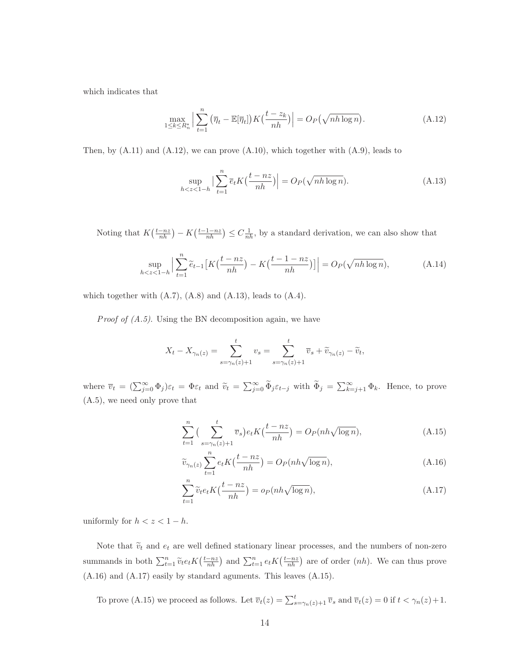which indicates that

$$
\max_{1 \le k \le R_n^*} \Big| \sum_{t=1}^n \left( \overline{\eta}_t - \mathbb{E}[\overline{\eta}_t] \right) K\left( \frac{t - z_k}{nh} \right) \Big| = O_P\left( \sqrt{nh \log n} \right). \tag{A.12}
$$

Then, by  $(A.11)$  and  $(A.12)$ , we can prove  $(A.10)$ , which together with  $(A.9)$ , leads to

$$
\sup_{h < z < 1-h} \left| \sum_{t=1}^{n} \overline{e}_t K\left(\frac{t - nz}{nh}\right) \right| = O_P(\sqrt{nh \log n}).\tag{A.13}
$$

Noting that  $K(\frac{t-nz}{nh}) - K(\frac{t-1-nz}{nh}) \leq C\frac{1}{nh}$ , by a standard derivation, we can also show that

$$
\sup_{h < z < 1-h} \Big| \sum_{t=1}^{n} \widetilde{e}_{t-1} \left[ K\left(\frac{t-nz}{nh}\right) - K\left(\frac{t-1-nz}{nh}\right) \right] \Big| = O_P(\sqrt{nh \log n}),\tag{A.14}
$$

which together with  $(A.7)$ ,  $(A.8)$  and  $(A.13)$ , leads to  $(A.4)$ .

*Proof of*  $(A.5)$ *.* Using the BN decomposition again, we have

$$
X_t - X_{\gamma_n(z)} = \sum_{s=\gamma_n(z)+1}^t v_s = \sum_{s=\gamma_n(z)+1}^t \overline{v}_s + \widetilde{v}_{\gamma_n(z)} - \widetilde{v}_t,
$$

where  $\overline{v}_t = (\sum_{j=0}^{\infty} \Phi_j) \varepsilon_t = \Phi \varepsilon_t$  and  $\widetilde{v}_t = \sum_{j=0}^{\infty} \widetilde{\Phi}_j \varepsilon_{t-j}$  with  $\widetilde{\Phi}_j = \sum_{k=j+1}^{\infty} \Phi_k$ . Hence, to prove (A.5), we need only prove that

$$
\sum_{t=1}^{n} \left( \sum_{s=\gamma_n(z)+1}^{t} \overline{v}_s \right) e_t K\left(\frac{t-nz}{nh}\right) = O_P(nh\sqrt{\log n}),\tag{A.15}
$$

$$
\widetilde{v}_{\gamma_n(z)} \sum_{t=1}^n e_t K\left(\frac{t - nz}{nh}\right) = O_P(nh\sqrt{\log n}),\tag{A.16}
$$

$$
\sum_{t=1}^{n} \widetilde{v}_t e_t K\left(\frac{t - nz}{nh}\right) = o_P(nh\sqrt{\log n}),\tag{A.17}
$$

uniformly for  $h < z < 1 - h$ .

Note that  $\tilde{v}_t$  and  $e_t$  are well defined stationary linear processes, and the numbers of non-zero summands in both  $\sum_{t=1}^{n} \widetilde{v}_t e_t K\left(\frac{t-nz}{nh}\right)$  and  $\sum_{t=1}^{n} e_t K\left(\frac{t-nz}{nh}\right)$  are of order  $(nh)$ . We can thus prove (A.16) and (A.17) easily by standard aguments. This leaves (A.15).

To prove (A.15) we proceed as follows. Let  $\overline{v}_t(z) = \sum_{s=\gamma_n(z)+1}^t \overline{v}_s$  and  $\overline{v}_t(z) = 0$  if  $t < \gamma_n(z)+1$ .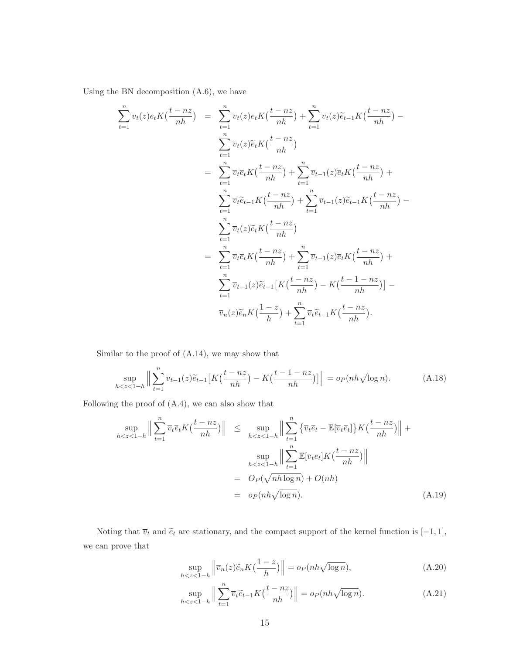Using the BN decomposition (A.6), we have

$$
\sum_{t=1}^{n} \overline{v}_t(z)e_t K(\frac{t - nz}{nh}) = \sum_{t=1}^{n} \overline{v}_t(z)\overline{e}_t K(\frac{t - nz}{nh}) + \sum_{t=1}^{n} \overline{v}_t(z)\widetilde{e}_{t-1} K(\frac{t - nz}{nh}) - \sum_{t=1}^{n} \overline{v}_t(z)\widetilde{e}_t K(\frac{t - nz}{nh})
$$
\n
$$
= \sum_{t=1}^{n} \overline{v}_t \overline{e}_t K(\frac{t - nz}{nh}) + \sum_{t=1}^{n} \overline{v}_{t-1}(z)\overline{e}_t K(\frac{t - nz}{nh}) + \sum_{t=1}^{n} \overline{v}_{t-1}(z)\widetilde{e}_{t-1} K(\frac{t - nz}{nh}) - \sum_{t=1}^{n} \overline{v}_t(z)\widetilde{e}_t K(\frac{t - nz}{nh})
$$
\n
$$
= \sum_{t=1}^{n} \overline{v}_t(z)\widetilde{e}_t K(\frac{t - nz}{nh}) + \sum_{t=1}^{n} \overline{v}_{t-1}(z)\overline{e}_t K(\frac{t - nz}{nh}) + \sum_{t=1}^{n} \overline{v}_{t-1}(z)\overline{e}_t K(\frac{t - nz}{nh}) + \sum_{t=1}^{n} \overline{v}_{t-1}(z)\widetilde{e}_{t-1} [K(\frac{t - nz}{nh}) - K(\frac{t - nz}{nh})]
$$
\n
$$
= \sum_{t=1}^{n} \overline{v}_{t-1}(z)\widetilde{e}_{t-1} [K(\frac{t - nz}{nh}) - K(\frac{t - nz}{nh})]
$$

Similar to the proof of (A.14), we may show that

$$
\sup_{h < z < 1-h} \left\| \sum_{t=1}^n \overline{v}_{t-1}(z)\widetilde{e}_{t-1} \left[ K\left(\frac{t-nz}{nh}\right) - K\left(\frac{t-1-nz}{nh}\right) \right] \right\| = o_P(nh\sqrt{\log n}).\tag{A.18}
$$

Following the proof of  $(A.4)$ , we can also show that

$$
\sup_{h < z < 1-h} \left\| \sum_{t=1}^{n} \overline{v}_t \overline{e}_t K\left(\frac{t - nz}{nh}\right) \right\| \leq \sup_{h < z < 1-h} \left\| \sum_{t=1}^{n} \left\{ \overline{v}_t \overline{e}_t - \mathbb{E}[\overline{v}_t \overline{e}_t] \right\} K\left(\frac{t - nz}{nh}\right) \right\| + \sup_{h < z < 1-h} \left\| \sum_{t=1}^{n} \mathbb{E}[\overline{v}_t \overline{e}_t] K\left(\frac{t - nz}{nh}\right) \right\|
$$
\n
$$
= O_P(\sqrt{nh \log n}) + O(nh)
$$
\n
$$
= o_P(nh\sqrt{\log n}). \tag{A.19}
$$

Noting that  $\overline{v}_t$  and  $\tilde{e}_t$  are stationary, and the compact support of the kernel function is  $[-1, 1]$ , we can prove that

$$
\sup_{h < z < 1-h} \left\| \overline{v}_n(z)\widetilde{e}_n K\left(\frac{1-z}{h}\right) \right\| = o_P(nh\sqrt{\log n}),\tag{A.20}
$$

$$
\sup_{h < z < 1 - h} \left\| \sum_{t=1}^{n} \overline{v}_t \widetilde{e}_{t-1} K\left(\frac{t - nz}{nh}\right) \right\| = o_P(nh\sqrt{\log n}).\tag{A.21}
$$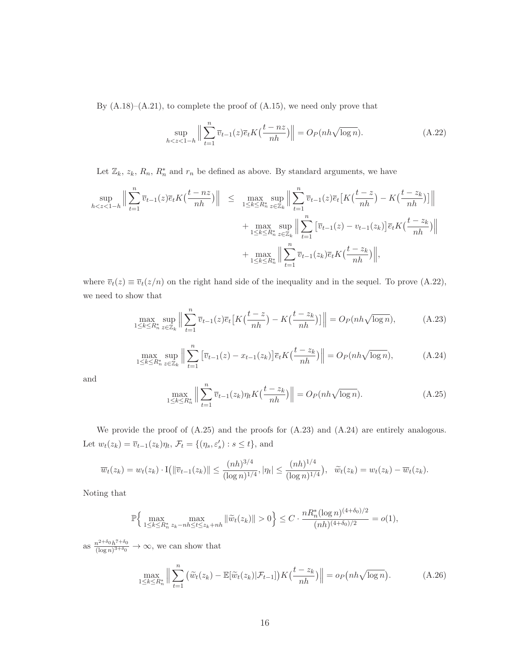By  $(A.18)$ – $(A.21)$ , to complete the proof of  $(A.15)$ , we need only prove that

$$
\sup_{h < z < 1-h} \left\| \sum_{t=1}^{n} \overline{v}_{t-1}(z) \overline{e}_t K\left(\frac{t - nz}{nh}\right) \right\| = O_P(nh\sqrt{\log n}).\tag{A.22}
$$

Let  $\mathbb{Z}_k$ ,  $z_k$ ,  $R_n$ ,  $R_n^*$  and  $r_n$  be defined as above. By standard arguments, we have

$$
\sup_{h < z < 1-h} \Big\| \sum_{t=1}^n \overline{v}_{t-1}(z) \overline{e}_t K\left(\frac{t - nz}{nh}\right) \Big\| \leq \max_{1 \leq k \leq R_n^*} \sup_{z \in \mathbb{Z}_k} \Big\| \sum_{t=1}^n \overline{v}_{t-1}(z) \overline{e}_t \left[ K\left(\frac{t - z}{nh}\right) - K\left(\frac{t - z_k}{nh}\right) \right] \Big\| + \max_{1 \leq k \leq R_n^*} \sup_{z \in \mathbb{Z}_k} \Big\| \sum_{t=1}^n \left[ \overline{v}_{t-1}(z) - v_{t-1}(z_k) \right] \overline{e}_t K\left(\frac{t - z_k}{nh}\right) \Big\| + \max_{1 \leq k \leq R_n^*} \Big\| \sum_{t=1}^n \overline{v}_{t-1}(z_k) \overline{e}_t K\left(\frac{t - z_k}{nh}\right) \Big\|,
$$

where  $\overline{v}_t(z) \equiv \overline{v}_t(z/n)$  on the right hand side of the inequality and in the sequel. To prove (A.22), we need to show that

$$
\max_{1 \le k \le R_n^*} \sup_{z \in \mathbb{Z}_k} \left\| \sum_{t=1}^n \overline{v}_{t-1}(z) \overline{e}_t \left[ K\left(\frac{t-z}{nh}\right) - K\left(\frac{t-z_k}{nh}\right) \right] \right\| = O_P(nh\sqrt{\log n}),\tag{A.23}
$$

$$
\max_{1 \le k \le R_n^*} \sup_{z \in \mathbb{Z}_k} \left\| \sum_{t=1}^n \left[ \overline{v}_{t-1}(z) - x_{t-1}(z_k) \right] \overline{e}_t K\left(\frac{t-z_k}{nh}\right) \right\| = O_P(nh\sqrt{\log n}),\tag{A.24}
$$

and

$$
\max_{1 \le k \le R_n^*} \left\| \sum_{t=1}^n \overline{v}_{t-1}(z_k) \eta_t K\left(\frac{t-z_k}{nh}\right) \right\| = O_P(nh\sqrt{\log n}).\tag{A.25}
$$

We provide the proof of  $(A.25)$  and the proofs for  $(A.23)$  and  $(A.24)$  are entirely analogous. Let  $w_t(z_k) = \overline{v}_{t-1}(z_k)\eta_t$ ,  $\mathcal{F}_t = \{(\eta_s, \varepsilon'_s) : s \le t\}$ , and

$$
\overline{w}_t(z_k) = w_t(z_k) \cdot \mathcal{I}\left(\|\overline{v}_{t-1}(z_k)\| \le \frac{(nh)^{3/4}}{(\log n)^{1/4}}, |\eta_t| \le \frac{(nh)^{1/4}}{(\log n)^{1/4}}\right), \quad \widetilde{w}_t(z_k) = w_t(z_k) - \overline{w}_t(z_k).
$$

Noting that

$$
\mathbb{P}\Big\{\max_{1\leq k\leq R_n^*} \max_{z_k-nh\leq t\leq z_k+nh} \|\widetilde{w}_t(z_k)\| > 0\Big\} \leq C \cdot \frac{nR_n^*(\log n)^{(4+\delta_0)/2}}{(nh)^{(4+\delta_0)/2}} = o(1),
$$

as  $\frac{n^{2+\delta_0}h^{7+\delta_0}}{(\log n)^{3+\delta_0}} \to \infty$ , we can show that

$$
\max_{1 \le k \le R_n^*} \left\| \sum_{t=1}^n \left( \widetilde{w}_t(z_k) - \mathbb{E}[\widetilde{w}_t(z_k)|\mathcal{F}_{t-1}] \right) K\left(\frac{t-z_k}{nh}\right) \right\| = o_P\left(nh\sqrt{\log n}\right). \tag{A.26}
$$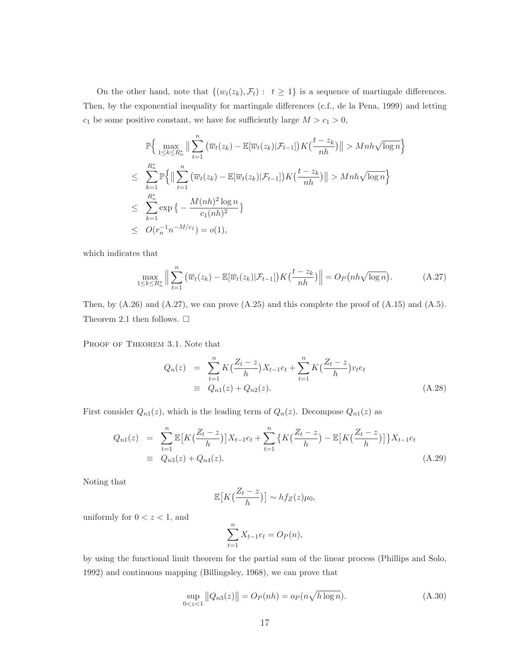On the other hand, note that  $\{(w_t(z_k), \mathcal{F}_t): t \geq 1\}$  is a sequence of martingale differences. Then, by the exponential inequality for martingale differences (c.f., de la Pena, 1999) and letting  $c_1$  be some positive constant, we have for sufficiently large  $M>c_1 > 0$ ,

$$
\mathbb{P}\Big\{\max_{1\leq k\leq R_n^*} \Big\|\sum_{t=1}^n \big(\overline{w}_t(z_k) - \mathbb{E}[\overline{w}_t(z_k)|\mathcal{F}_{t-1}]\big)K\big(\frac{t-z_k}{nh}\big)\Big\| > Mnh\sqrt{\log n}\Big\}
$$
  
\n
$$
\leq \sum_{k=1}^{R_n^*} \mathbb{P}\Big\{\Big\|\sum_{t=1}^n \big(\overline{w}_t(z_k) - \mathbb{E}[\overline{w}_t(z_k)|\mathcal{F}_{t-1}]\big)K\big(\frac{t-z_k}{nh}\big)\Big\| > Mnh\sqrt{\log n}\Big\}
$$
  
\n
$$
\leq \sum_{k=1}^{R_n^*} \exp\Big\{-\frac{M(nh)^2\log n}{c_1(nh)^2}\Big\}
$$
  
\n
$$
\leq O(r_n^{-1}n^{-M/c_1}) = o(1),
$$

which indicates that

$$
\max_{1 \le k \le R_n^*} \left\| \sum_{t=1}^n \left( \overline{w}_t(z_k) - \mathbb{E}[\overline{w}_t(z_k)|\mathcal{F}_{t-1}] \right) K\left(\frac{t-z_k}{nh}\right) \right\| = O_P\left(nh\sqrt{\log n}\right). \tag{A.27}
$$

Then, by  $(A.26)$  and  $(A.27)$ , we can prove  $(A.25)$  and this complete the proof of  $(A.15)$  and  $(A.5)$ . Theorem 2.1 then follows.  $\Box$ 

PROOF OF THEOREM 3.1. Note that

$$
Q_n(z) = \sum_{t=1}^n K\left(\frac{Z_t - z}{h}\right)X_{t-1}e_t + \sum_{t=1}^n K\left(\frac{Z_t - z}{h}\right)v_t e_t
$$
  
\n
$$
\equiv Q_{n1}(z) + Q_{n2}(z).
$$
 (A.28)

First consider  $Q_{n1}(z)$ , which is the leading term of  $Q_n(z)$ . Decompose  $Q_{n1}(z)$  as

$$
Q_{n1}(z) = \sum_{t=1}^{n} \mathbb{E}\left[K\left(\frac{Z_t - z}{h}\right)\right]X_{t-1}e_t + \sum_{t=1}^{n} \left\{K\left(\frac{Z_t - z}{h}\right) - \mathbb{E}\left[K\left(\frac{Z_t - z}{h}\right)\right]\right\}X_{t-1}e_t
$$
  
\n
$$
\equiv Q_{n3}(z) + Q_{n4}(z). \tag{A.29}
$$

Noting that

$$
\mathbb{E}\big[K\big(\frac{Z_t-z}{h}\big)\big] \sim h f_Z(z) \mu_0,
$$

uniformly for  $0 < z < 1$ , and

$$
\sum_{t=1}^{n} X_{t-1}e_t = O_P(n),
$$

by using the functional limit theorem for the partial sum of the linear process (Phillips and Solo, 1992) and continuous mapping (Billingsley, 1968), we can prove that

$$
\sup_{0 < z < 1} \|Q_{n3}(z)\| = O_P(nh) = o_P(n\sqrt{h \log n}).\tag{A.30}
$$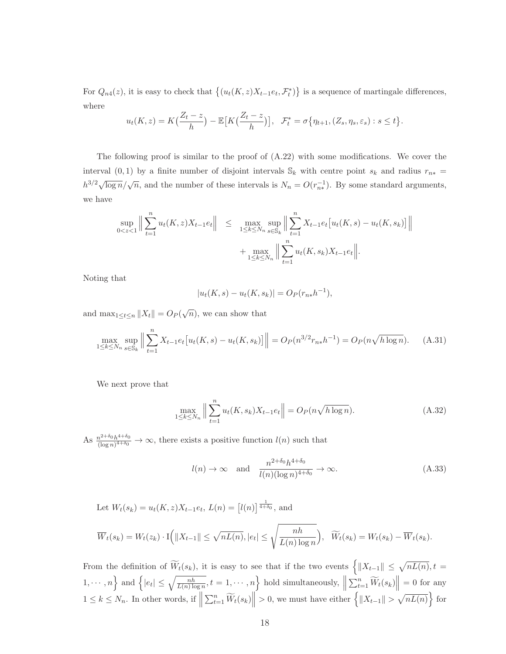For  $Q_{n4}(z)$ , it is easy to check that  $\{(u_t(K,z)X_{t-1}e_t, \mathcal{F}_t^*)\}$  is a sequence of martingale differences, where

$$
u_t(K, z) = K\left(\frac{Z_t - z}{h}\right) - \mathbb{E}\left[K\left(\frac{Z_t - z}{h}\right)\right], \quad \mathcal{F}_t^* = \sigma\left\{\eta_{t+1}, (Z_s, \eta_s, \varepsilon_s) : s \le t\right\}.
$$

The following proof is similar to the proof of  $(A.22)$  with some modifications. We cover the interval (0, 1) by a finite number of disjoint intervals  $\mathbb{S}_k$  with centre point  $s_k$  and radius  $r_{n*}$  =  $h^{3/2}\sqrt{\log n}/\sqrt{n}$ , and the number of these intervals is  $N_n = O(r_{n*}^{-1})$ . By some standard arguments, we have

$$
\sup_{0 < z < 1} \Big\| \sum_{t=1}^n u_t(K, z) X_{t-1} e_t \Big\| \leq \max_{1 \leq k \leq N_n} \sup_{s \in \mathbb{S}_k} \Big\| \sum_{t=1}^n X_{t-1} e_t \big[ u_t(K, s) - u_t(K, s_k) \big] \Big\| + \max_{1 \leq k \leq N_n} \Big\| \sum_{t=1}^n u_t(K, s_k) X_{t-1} e_t \Big\|.
$$

Noting that

$$
|u_t(K, s) - u_t(K, s_k)| = O_P(r_{n*}h^{-1}),
$$

and  $\max_{1 \leq t \leq n} ||X_t|| = O_P(\sqrt{n})$ , we can show that

$$
\max_{1 \le k \le N_n} \sup_{s \in \mathbb{S}_k} \left\| \sum_{t=1}^n X_{t-1} e_t \left[ u_t(K, s) - u_t(K, s_k) \right] \right\| = O_P(n^{3/2} r_{n*} h^{-1}) = O_P(n \sqrt{h \log n}). \tag{A.31}
$$

We next prove that

$$
\max_{1 \le k \le N_n} \left\| \sum_{t=1}^n u_t(K, s_k) X_{t-1} e_t \right\| = O_P(n \sqrt{h \log n}).
$$
\n(A.32)

As  $\frac{n^{2+\delta_0}h^{4+\delta_0}}{(\log n)^{4+\delta_0}} \to \infty$ , there exists a positive function  $l(n)$  such that

$$
l(n) \to \infty
$$
 and  $\frac{n^{2+\delta_0}h^{4+\delta_0}}{l(n)(\log n)^{4+\delta_0}} \to \infty.$  (A.33)

Let 
$$
W_t(s_k) = u_t(K, z)X_{t-1}e_t
$$
,  $L(n) = [l(n)]^{\frac{1}{4+\delta_0}}$ , and  
\n
$$
\overline{W}_t(s_k) = W_t(z_k) \cdot \mathbf{I}\Big(\|X_{t-1}\| \le \sqrt{nL(n)}, |e_t| \le \sqrt{\frac{nh}{L(n)\log n}}\Big), \quad \widetilde{W}_t(s_k) = W_t(s_k) - \overline{W}_t(s_k).
$$

From the definition of  $\widetilde{W}_t(s_k)$ , it is easy to see that if the two events  $\left\{ \|X_{t-1}\| \leq \sqrt{nL(n)}, t = \right\}$  $1, \dots, n$  and  $\left\{ |e_t| \le \sqrt{\frac{nh}{L(n)\log n}}, t = 1, \dots, n \right\}$  hold simultaneously,  $\left\| \frac{1}{L(n)\log n} \right\|$  $\sum_{t=1}^{n} \widetilde{W}_t(s_k)$  = 0 for any  $1 \leq k \leq N_n$ . In other words, if  $\parallel$  $\sum_{t=1}^{n} \widetilde{W}_t(s_k) \leq 0$ , we must have either  $\left\{ \|X_{t-1}\| > \sqrt{nL(n)} \right\}$  for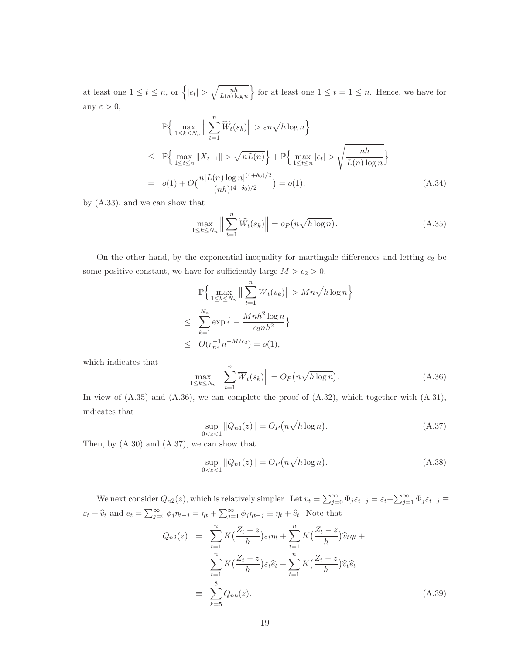at least one  $1 \leq t \leq n$ , or  $\left\{ |e_t| > \sqrt{\frac{n h}{L(n) \log n}} \right\}$  $\overline{L(n) \log n}$ for at least one  $1 \le t = 1 \le n$ . Hence, we have for any  $\varepsilon > 0$ ,

$$
\mathbb{P}\Big\{\max_{1\leq k\leq N_n} \Big\|\sum_{t=1}^n \widetilde{W}_t(s_k)\Big\| > \varepsilon n \sqrt{h \log n}\Big\}
$$
\n
$$
\leq \mathbb{P}\Big\{\max_{1\leq t\leq n} \|X_{t-1}\| > \sqrt{nL(n)}\Big\} + \mathbb{P}\Big\{\max_{1\leq t\leq n} |e_t| > \sqrt{\frac{nh}{L(n)\log n}}\Big\}
$$
\n
$$
= o(1) + O\big(\frac{n[L(n)\log n]^{(4+\delta_0)/2}}{(nh)^{(4+\delta_0)/2}}\big) = o(1), \tag{A.34}
$$

by (A.33), and we can show that

$$
\max_{1 \le k \le N_n} \left\| \sum_{t=1}^n \widetilde{W}_t(s_k) \right\| = o_P\big(n\sqrt{h \log n}\big). \tag{A.35}
$$

On the other hand, by the exponential inequality for martingale differences and letting  $c_2$  be some positive constant, we have for sufficiently large  $M>c_2 > 0$ ,

$$
\mathbb{P}\Big\{\max_{1\leq k\leq N_n} \left\|\sum_{t=1}^n \overline{W}_t(s_k)\right\| > Mn\sqrt{h\log n}\Big\}
$$
  

$$
\leq \sum_{k=1}^{N_n} \exp\Big\{-\frac{Mnh^2\log n}{c_2nh^2}\Big\}
$$
  

$$
\leq O(r_{n*}^{-1}n^{-M/c_2}) = o(1),
$$

which indicates that

$$
\max_{1 \le k \le N_n} \left\| \sum_{t=1}^n \overline{W}_t(s_k) \right\| = O_P\big(n \sqrt{h \log n}\big). \tag{A.36}
$$

In view of (A.35) and (A.36), we can complete the proof of (A.32), which together with (A.31), indicates that

$$
\sup_{0 < z < 1} \|Q_{n4}(z)\| = O_P\left(n\sqrt{h\log n}\right). \tag{A.37}
$$

Then, by (A.30) and (A.37), we can show that

$$
\sup_{0 < z < 1} \|Q_{n1}(z)\| = O_P\left(n\sqrt{h\log n}\right). \tag{A.38}
$$

We next consider  $Q_{n2}(z)$ , which is relatively simpler. Let  $v_t = \sum_{j=0}^{\infty} \Phi_j \varepsilon_{t-j} = \varepsilon_t + \sum_{j=1}^{\infty} \Phi_j \varepsilon_{t-j} \equiv$  $\varepsilon_t + \widehat{v}_t$  and  $e_t = \sum_{j=0}^{\infty} \phi_j \eta_{t-j} = \eta_t + \sum_{j=1}^{\infty} \phi_j \eta_{t-j} \equiv \eta_t + \widehat{e}_t$ . Note that

$$
Q_{n2}(z) = \sum_{t=1}^{n} K\left(\frac{Z_t - z}{h}\right) \varepsilon_t \eta_t + \sum_{t=1}^{n} K\left(\frac{Z_t - z}{h}\right) \widehat{v}_t \eta_t + \sum_{t=1}^{n} K\left(\frac{Z_t - z}{h}\right) \varepsilon_t \widehat{e}_t + \sum_{t=1}^{n} K\left(\frac{Z_t - z}{h}\right) \widehat{v}_t \widehat{e}_t
$$
  

$$
\equiv \sum_{k=5}^{8} Q_{nk}(z).
$$
 (A.39)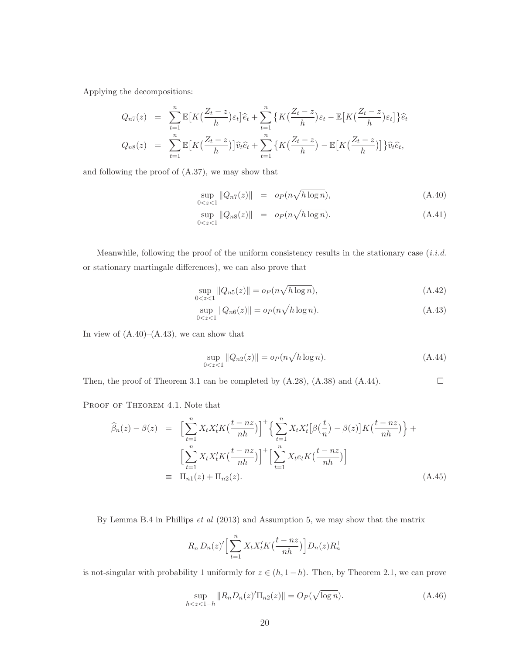Applying the decompositions:

$$
Q_{n7}(z) = \sum_{t=1}^{n} \mathbb{E}\left[K\left(\frac{Z_t - z}{h}\right)\varepsilon_t\right]\hat{e}_t + \sum_{t=1}^{n} \left\{K\left(\frac{Z_t - z}{h}\right)\varepsilon_t - \mathbb{E}\left[K\left(\frac{Z_t - z}{h}\right)\varepsilon_t\right]\right\}\hat{e}_t
$$
  

$$
Q_{n8}(z) = \sum_{t=1}^{n} \mathbb{E}\left[K\left(\frac{Z_t - z}{h}\right)\right]\hat{v}_t\hat{e}_t + \sum_{t=1}^{n} \left\{K\left(\frac{Z_t - z}{h}\right) - \mathbb{E}\left[K\left(\frac{Z_t - z}{h}\right)\right]\right\}\hat{v}_t\hat{e}_t,
$$

and following the proof of (A.37), we may show that

$$
\sup_{0 < z < 1} \|Q_{n7}(z)\| = o_P(n\sqrt{h \log n}),\tag{A.40}
$$

$$
\sup_{0 < z < 1} \|Q_{n8}(z)\| = o_P(n\sqrt{h \log n}).\tag{A.41}
$$

Meanwhile, following the proof of the uniform consistency results in the stationary case  $(i.i.d.$ or stationary martingale differences), we can also prove that

$$
\sup_{0 < z < 1} \|Q_{n5}(z)\| = o_P(n\sqrt{h \log n}),\tag{A.42}
$$

$$
\sup_{0 < z < 1} \|Q_{n6}(z)\| = o_P(n\sqrt{h \log n}).\tag{A.43}
$$

In view of  $(A.40)$ – $(A.43)$ , we can show that

$$
\sup_{0 < z < 1} \|Q_{n2}(z)\| = o_P(n\sqrt{h \log n}).\tag{A.44}
$$

Then, the proof of Theorem 3.1 can be completed by  $(A.28)$ ,  $(A.38)$  and  $(A.44)$ .  $\Box$ 

PROOF OF THEOREM 4.1. Note that

$$
\widehat{\beta}_n(z) - \beta(z) = \left[ \sum_{t=1}^n X_t X_t' K\left(\frac{t - nz}{nh}\right) \right]^+ \left\{ \sum_{t=1}^n X_t X_t' [\beta(\frac{t}{n}) - \beta(z)] K\left(\frac{t - nz}{nh}\right) \right\} + \left[ \sum_{t=1}^n X_t X_t' K\left(\frac{t - nz}{nh}\right) \right]^+ \left[ \sum_{t=1}^n X_t e_t K\left(\frac{t - nz}{nh}\right) \right]
$$
\n
$$
= \Pi_{n1}(z) + \Pi_{n2}(z). \tag{A.45}
$$

By Lemma B.4 in Phillips et al (2013) and Assumption 5, we may show that the matrix

$$
R_n^+ D_n(z)' \Big[ \sum_{t=1}^n X_t X_t' K\big(\frac{t - nz}{nh}\big) \Big] D_n(z) R_n^+
$$

is not-singular with probability 1 uniformly for  $z \in (h, 1-h)$ . Then, by Theorem 2.1, we can prove

$$
\sup_{h < z < 1 - h} \|R_n D_n(z)' \Pi_{n2}(z)\| = O_P(\sqrt{\log n}).\tag{A.46}
$$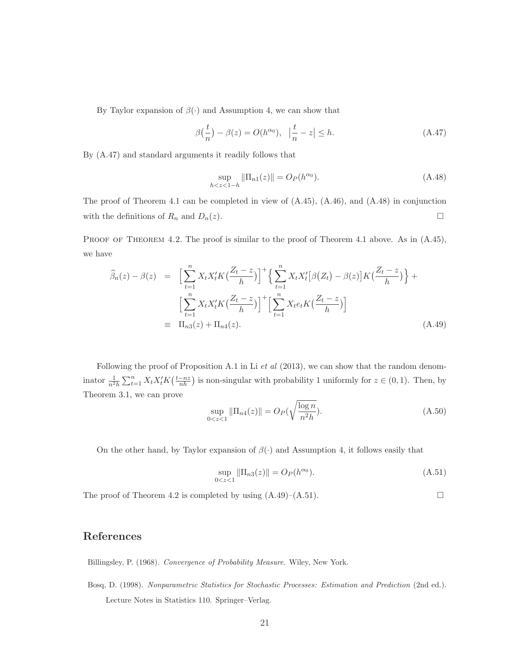By Taylor expansion of  $\beta(\cdot)$  and Assumption 4, we can show that

$$
\beta\left(\frac{t}{n}\right) - \beta(z) = O(h^{\alpha_0}), \quad \left|\frac{t}{n} - z\right| \le h. \tag{A.47}
$$

By (A.47) and standard arguments it readily follows that

$$
\sup_{h < z < 1-h} \|\Pi_{n1}(z)\| = O_P(h^{\alpha_0}).\tag{A.48}
$$

The proof of Theorem 4.1 can be completed in view of  $(A.45)$ ,  $(A.46)$ , and  $(A.48)$  in conjunction with the definitions of  $R_n$  and  $D_n(z)$ .  $\Box$ 

PROOF OF THEOREM 4.2. The proof is similar to the proof of Theorem 4.1 above. As in  $(A.45)$ , we have

$$
\widehat{\beta}_n(z) - \beta(z) = \left[ \sum_{t=1}^n X_t X_t' K \left( \frac{Z_t - z}{h} \right) \right]^+ \left\{ \sum_{t=1}^n X_t X_t' [\beta(Z_t) - \beta(z)] K \left( \frac{Z_t - z}{h} \right) \right\} + \left[ \sum_{t=1}^n X_t X_t' K \left( \frac{Z_t - z}{h} \right) \right]^+ \left[ \sum_{t=1}^n X_t e_t K \left( \frac{Z_t - z}{h} \right) \right]
$$
\n
$$
= \Pi_{n3}(z) + \Pi_{n4}(z). \tag{A.49}
$$

Following the proof of Proposition A.1 in Li et al  $(2013)$ , we can show that the random denominator  $\frac{1}{n^2h} \sum_{t=1}^n X_t X_t' K(\frac{t-nz}{nh})$  is non-singular with probability 1 uniformly for  $z \in (0,1)$ . Then, by Theorem 3.1, we can prove

$$
\sup_{0 < z < 1} \|\Pi_{n4}(z)\| = O_P(\sqrt{\frac{\log n}{n^2 h}}). \tag{A.50}
$$

On the other hand, by Taylor expansion of  $\beta(\cdot)$  and Assumption 4, it follows easily that

$$
\sup_{0 < z < 1} \|\Pi_{n3}(z)\| = O_P(h^{\alpha_0}).\tag{A.51}
$$

 $\Box$ 

The proof of Theorem 4.2 is completed by using  $(A.49)$ – $(A.51)$ .

#### **References**

Billingsley, P. (1968). Convergence of Probability Measure. Wiley, New York.

Bosq, D. (1998). Nonparametric Statistics for Stochastic Processes: Estimation and Prediction (2nd ed.). Lecture Notes in Statistics 110. Springer–Verlag.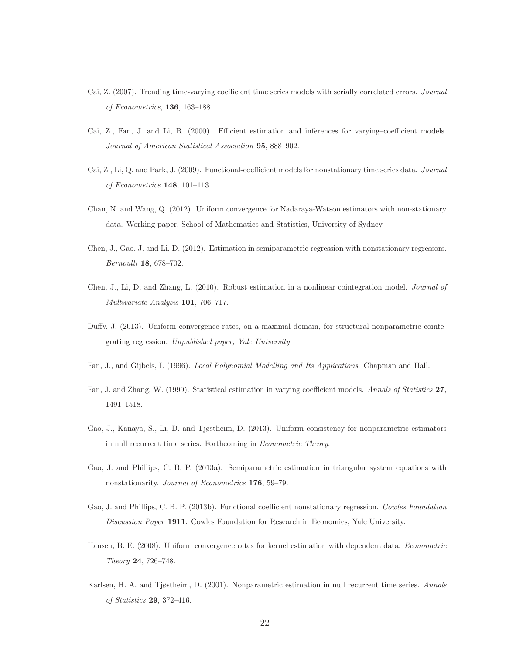- Cai, Z. (2007). Trending time-varying coefficient time series models with serially correlated errors. Journal of Econometrics, **136**, 163–188.
- Cai, Z., Fan, J. and Li, R. (2000). Efficient estimation and inferences for varying–coefficient models. Journal of American Statistical Association **95**, 888–902.
- Cai, Z., Li, Q. and Park, J. (2009). Functional-coefficient models for nonstationary time series data. Journal of Econometrics **148**, 101–113.
- Chan, N. and Wang, Q. (2012). Uniform convergence for Nadaraya-Watson estimators with non-stationary data. Working paper, School of Mathematics and Statistics, University of Sydney.
- Chen, J., Gao, J. and Li, D. (2012). Estimation in semiparametric regression with nonstationary regressors. Bernoulli **18**, 678–702.
- Chen, J., Li, D. and Zhang, L. (2010). Robust estimation in a nonlinear cointegration model. Journal of Multivariate Analysis **101**, 706–717.
- Duffy, J. (2013). Uniform convergence rates, on a maximal domain, for structural nonparametric cointegrating regression. Unpublished paper, Yale University
- Fan, J., and Gijbels, I. (1996). Local Polynomial Modelling and Its Applications. Chapman and Hall.
- Fan, J. and Zhang, W. (1999). Statistical estimation in varying coefficient models. Annals of Statistics **27**, 1491–1518.
- Gao, J., Kanaya, S., Li, D. and Tjøstheim, D. (2013). Uniform consistency for nonparametric estimators in null recurrent time series. Forthcoming in Econometric Theory.
- Gao, J. and Phillips, C. B. P. (2013a). Semiparametric estimation in triangular system equations with nonstationarity. Journal of Econometrics **176**, 59–79.
- Gao, J. and Phillips, C. B. P. (2013b). Functional coefficient nonstationary regression. Cowles Foundation Discussion Paper **1911**. Cowles Foundation for Research in Economics, Yale University.
- Hansen, B. E. (2008). Uniform convergence rates for kernel estimation with dependent data. Econometric Theory **24**, 726–748.
- Karlsen, H. A. and Tjøstheim, D. (2001). Nonparametric estimation in null recurrent time series. Annals of Statistics **29**, 372–416.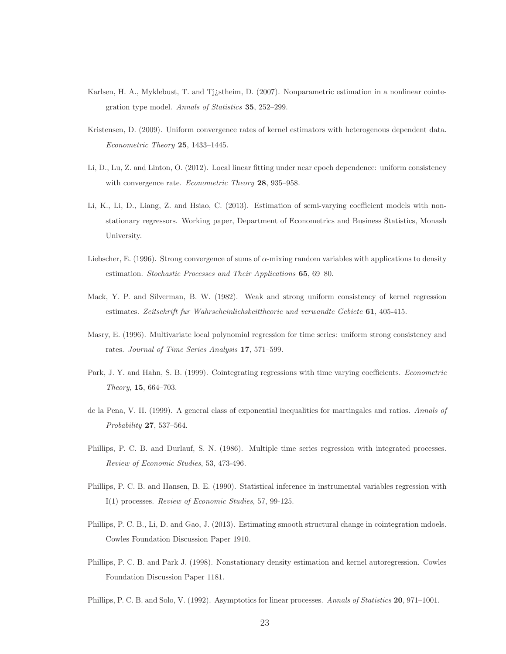- Karlsen, H. A., Myklebust, T. and Tj¿stheim, D. (2007). Nonparametric estimation in a nonlinear cointegration type model. Annals of Statistics **35**, 252–299.
- Kristensen, D. (2009). Uniform convergence rates of kernel estimators with heterogenous dependent data. Econometric Theory **25**, 1433–1445.
- Li, D., Lu, Z. and Linton, O. (2012). Local linear fitting under near epoch dependence: uniform consistency with convergence rate. Econometric Theory **28**, 935–958.
- Li, K., Li, D., Liang, Z. and Hsiao, C. (2013). Estimation of semi-varying coefficient models with nonstationary regressors. Working paper, Department of Econometrics and Business Statistics, Monash University.
- Liebscher, E. (1996). Strong convergence of sums of  $\alpha$ -mixing random variables with applications to density estimation. Stochastic Processes and Their Applications **65**, 69–80.
- Mack, Y. P. and Silverman, B. W. (1982). Weak and strong uniform consistency of kernel regression estimates. Zeitschrift fur Wahrscheinlichskeittheorie und verwandte Gebiete **61**, 405-415.
- Masry, E. (1996). Multivariate local polynomial regression for time series: uniform strong consistency and rates. Journal of Time Series Analysis **17**, 571–599.
- Park, J. Y. and Hahn, S. B. (1999). Cointegrating regressions with time varying coefficients. Econometric Theory, **15**, 664–703.
- de la Pena, V. H. (1999). A general class of exponential inequalities for martingales and ratios. Annals of Probability **27**, 537–564.
- Phillips, P. C. B. and Durlauf, S. N. (1986). Multiple time series regression with integrated processes. Review of Economic Studies, 53, 473-496.
- Phillips, P. C. B. and Hansen, B. E. (1990). Statistical inference in instrumental variables regression with I(1) processes. Review of Economic Studies, 57, 99-125.
- Phillips, P. C. B., Li, D. and Gao, J. (2013). Estimating smooth structural change in cointegration mdoels. Cowles Foundation Discussion Paper 1910.
- Phillips, P. C. B. and Park J. (1998). Nonstationary density estimation and kernel autoregression. Cowles Foundation Discussion Paper 1181.
- Phillips, P. C. B. and Solo, V. (1992). Asymptotics for linear processes. Annals of Statistics **20**, 971–1001.